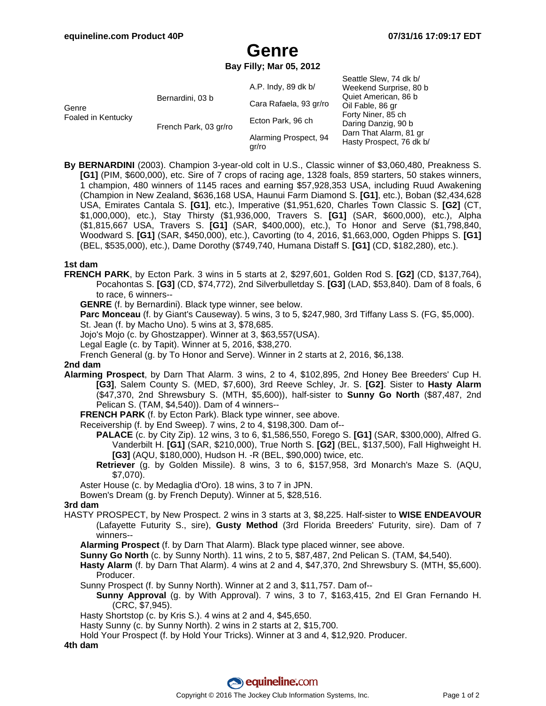Seattle Slew, 74 dk b/

# **Genre**

**Bay Filly; Mar 05, 2012**

| Genre<br>Foaled in Kentucky | Bernardini, 03 b      | A.P. Indy, 89 dk b/            | OBALLIB OIBW, 14 UK DI<br>Weekend Surprise, 80 b<br>Quiet American, 86 b<br>Oil Fable, 86 gr<br>Forty Niner, 85 ch<br>Daring Danzig, 90 b<br>Darn That Alarm, 81 gr<br>Hasty Prospect, 76 dk b/ |
|-----------------------------|-----------------------|--------------------------------|-------------------------------------------------------------------------------------------------------------------------------------------------------------------------------------------------|
|                             |                       | Cara Rafaela, 93 gr/ro         |                                                                                                                                                                                                 |
|                             | French Park, 03 gr/ro | Ecton Park, 96 ch              |                                                                                                                                                                                                 |
|                             |                       | Alarming Prospect, 94<br>qr/ro |                                                                                                                                                                                                 |

**By BERNARDINI** (2003). Champion 3-year-old colt in U.S., Classic winner of \$3,060,480, Preakness S. **[G1]** (PIM, \$600,000), etc. Sire of 7 crops of racing age, 1328 foals, 859 starters, 50 stakes winners, 1 champion, 480 winners of 1145 races and earning \$57,928,353 USA, including Ruud Awakening (Champion in New Zealand, \$636,168 USA, Haunui Farm Diamond S. **[G1]**, etc.), Boban (\$2,434,628 USA, Emirates Cantala S. **[G1]**, etc.), Imperative (\$1,951,620, Charles Town Classic S. **[G2]** (CT, \$1,000,000), etc.), Stay Thirsty (\$1,936,000, Travers S. **[G1]** (SAR, \$600,000), etc.), Alpha (\$1,815,667 USA, Travers S. **[G1]** (SAR, \$400,000), etc.), To Honor and Serve (\$1,798,840, Woodward S. **[G1]** (SAR, \$450,000), etc.), Cavorting (to 4, 2016, \$1,663,000, Ogden Phipps S. **[G1]** (BEL, \$535,000), etc.), Dame Dorothy (\$749,740, Humana Distaff S. **[G1]** (CD, \$182,280), etc.).

#### **1st dam**

**FRENCH PARK**, by Ecton Park. 3 wins in 5 starts at 2, \$297,601, Golden Rod S. **[G2]** (CD, \$137,764), Pocahontas S. **[G3]** (CD, \$74,772), 2nd Silverbulletday S. **[G3]** (LAD, \$53,840). Dam of 8 foals, 6 to race, 6 winners--

**GENRE** (f. by Bernardini). Black type winner, see below.

**Parc Monceau** (f. by Giant's Causeway). 5 wins, 3 to 5, \$247,980, 3rd Tiffany Lass S. (FG, \$5,000).

St. Jean (f. by Macho Uno). 5 wins at 3, \$78,685.

Jojo's Mojo (c. by Ghostzapper). Winner at 3, \$63,557(USA).

Legal Eagle (c. by Tapit). Winner at 5, 2016, \$38,270.

French General (g. by To Honor and Serve). Winner in 2 starts at 2, 2016, \$6,138.

#### **2nd dam**

**Alarming Prospect**, by Darn That Alarm. 3 wins, 2 to 4, \$102,895, 2nd Honey Bee Breeders' Cup H. **[G3]**, Salem County S. (MED, \$7,600), 3rd Reeve Schley, Jr. S. **[G2]**. Sister to **Hasty Alarm** (\$47,370, 2nd Shrewsbury S. (MTH, \$5,600)), half-sister to **Sunny Go North** (\$87,487, 2nd Pelican S. (TAM, \$4,540)). Dam of 4 winners--

**FRENCH PARK** (f. by Ecton Park). Black type winner, see above.

Receivership (f. by End Sweep). 7 wins, 2 to 4, \$198,300. Dam of--

- **PALACE** (c. by City Zip). 12 wins, 3 to 6, \$1,586,550, Forego S. **[G1]** (SAR, \$300,000), Alfred G. Vanderbilt H. **[G1]** (SAR, \$210,000), True North S. **[G2]** (BEL, \$137,500), Fall Highweight H. **[G3]** (AQU, \$180,000), Hudson H. -R (BEL, \$90,000) twice, etc.
- **Retriever** (g. by Golden Missile). 8 wins, 3 to 6, \$157,958, 3rd Monarch's Maze S. (AQU, \$7,070).

Aster House (c. by Medaglia d'Oro). 18 wins, 3 to 7 in JPN.

Bowen's Dream (g. by French Deputy). Winner at 5, \$28,516.

#### **3rd dam**

HASTY PROSPECT, by New Prospect. 2 wins in 3 starts at 3, \$8,225. Half-sister to **WISE ENDEAVOUR** (Lafayette Futurity S., sire), **Gusty Method** (3rd Florida Breeders' Futurity, sire). Dam of 7 winners--

**Alarming Prospect** (f. by Darn That Alarm). Black type placed winner, see above.

**Sunny Go North** (c. by Sunny North). 11 wins, 2 to 5, \$87,487, 2nd Pelican S. (TAM, \$4,540).

- **Hasty Alarm** (f. by Darn That Alarm). 4 wins at 2 and 4, \$47,370, 2nd Shrewsbury S. (MTH, \$5,600). Producer.
- Sunny Prospect (f. by Sunny North). Winner at 2 and 3, \$11,757. Dam of--
- **Sunny Approval** (g. by With Approval). 7 wins, 3 to 7, \$163,415, 2nd El Gran Fernando H. (CRC, \$7,945).

Hasty Shortstop (c. by Kris S.). 4 wins at 2 and 4, \$45,650.

Hasty Sunny (c. by Sunny North). 2 wins in 2 starts at 2, \$15,700.

Hold Your Prospect (f. by Hold Your Tricks). Winner at 3 and 4, \$12,920. Producer.

**4th dam**